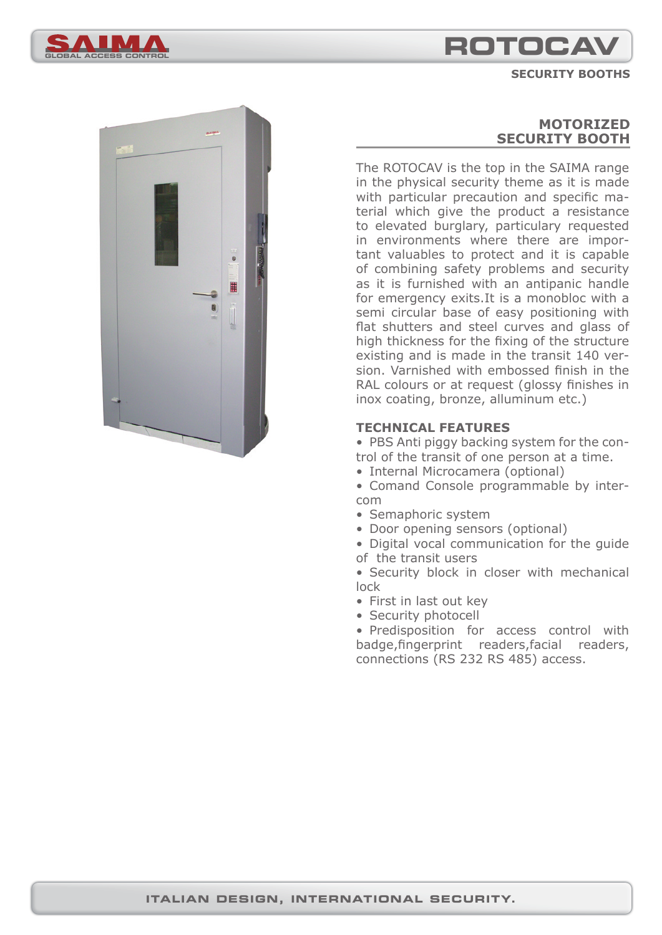

**SECURITY BOOTHS**





# **MOTORIZED SECURITY BOOTH**

The ROTOCAV is the top in the SAIMA range in the physical security theme as it is made with particular precaution and specific material which give the product a resistance to elevated burglary, particulary requested in environments where there are important valuables to protect and it is capable of combining safety problems and security as it is furnished with an antipanic handle for emergency exits.It is a monobloc with a semi circular base of easy positioning with flat shutters and steel curves and glass of high thickness for the fixing of the structure existing and is made in the transit 140 version. Varnished with embossed finish in the RAL colours or at request (glossy finishes in inox coating, bronze, alluminum etc.)

## **TECHNICAL FEATURES**

• PBS Anti piggy backing system for the control of the transit of one person at a time.

- Internal Microcamera (optional)
- Comand Console programmable by intercom
- Semaphoric system
- Door opening sensors (optional)

• Digital vocal communication for the guide of the transit users

• Security block in closer with mechanical lock

- First in last out key
- Security photocell

• Predisposition for access control with badge, fingerprint readers, facial readers, connections (RS 232 RS 485) access.